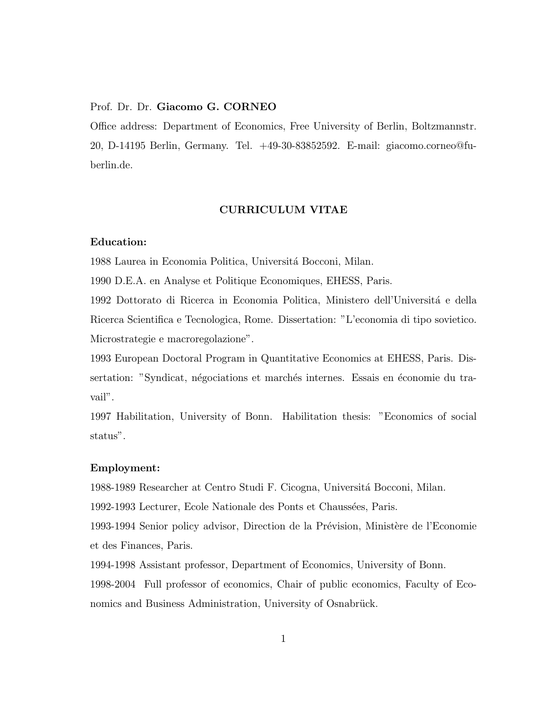## Prof. Dr. Dr. Giacomo G. CORNEO

Office address: Department of Economics, Free University of Berlin, Boltzmannstr. 20, D-14195 Berlin, Germany. Tel. +49-30-83852592. E-mail: giacomo.corneo@fuberlin.de.

#### CURRICULUM VITAE

# Education:

1988 Laurea in Economia Politica, Universita Bocconi, Milan.

1990 D.E.A. en Analyse et Politique Economiques, EHESS, Paris.

1992 Dottorato di Ricerca in Economia Politica, Ministero dell'Universita e della Ricerca Scientifica e Tecnologica, Rome. Dissertation: "L'economia di tipo sovietico. Microstrategie e macroregolazione".

1993 European Doctoral Program in Quantitative Economics at EHESS, Paris. Dissertation: "Syndicat, negociations et marches internes. Essais en economie du travail".

1997 Habilitation, University of Bonn. Habilitation thesis: "Economics of social status".

## Employment:

1988-1989 Researcher at Centro Studi F. Cicogna, Universita Bocconi, Milan.

1992-1993 Lecturer, Ecole Nationale des Ponts et Chaussées, Paris.

1993-1994 Senior policy advisor, Direction de la Prevision, Ministere de l'Economie et des Finances, Paris.

1994-1998 Assistant professor, Department of Economics, University of Bonn. 1998-2004 Full professor of economics, Chair of public economics, Faculty of Economics and Business Administration, University of Osnabrück.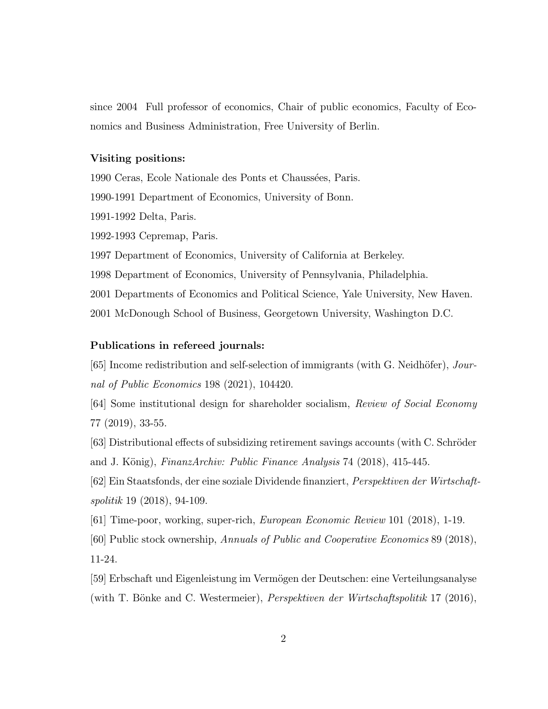since 2004 Full professor of economics, Chair of public economics, Faculty of Economics and Business Administration, Free University of Berlin.

## Visiting positions:

1990 Ceras, Ecole Nationale des Ponts et Chaussées, Paris.

1990-1991 Department of Economics, University of Bonn.

1991-1992 Delta, Paris.

1992-1993 Cepremap, Paris.

1997 Department of Economics, University of California at Berkeley.

1998 Department of Economics, University of Pennsylvania, Philadelphia.

2001 Departments of Economics and Political Science, Yale University, New Haven.

2001 McDonough School of Business, Georgetown University, Washington D.C.

#### Publications in refereed journals:

[65] Income redistribution and self-selection of immigrants (with G. Neidhofer), Journal of Public Economics 198 (2021), 104420.

[64] Some institutional design for shareholder socialism, Review of Social Economy 77 (2019), 33-55.

[63] Distributional effects of subsidizing retirement savings accounts (with C. Schröder and J. Konig), FinanzArchiv: Public Finance Analysis 74 (2018), 415-445.

[62] Ein Staatsfonds, der eine soziale Dividende nanziert, Perspektiven der Wirtschaftspolitik 19 (2018), 94-109.

[61] Time-poor, working, super-rich, European Economic Review 101 (2018), 1-19.

[60] Public stock ownership, Annuals of Public and Cooperative Economics 89 (2018),

11-24.

[59] Erbschaft und Eigenleistung im Vermogen der Deutschen: eine Verteilungsanalyse (with T. Bönke and C. Westermeier), *Perspektiven der Wirtschaftspolitik* 17 (2016),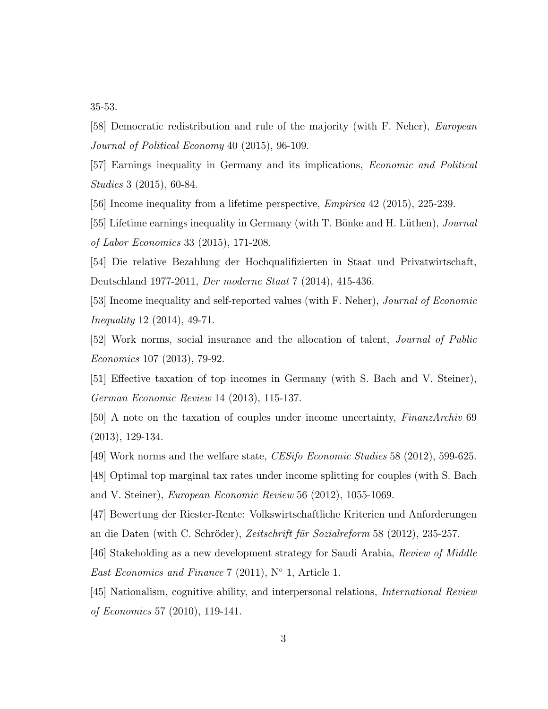35-53.

[58] Democratic redistribution and rule of the majority (with F. Neher), European Journal of Political Economy 40 (2015), 96-109.

[57] Earnings inequality in Germany and its implications, Economic and Political Studies 3 (2015), 60-84.

[56] Income inequality from a lifetime perspective, Empirica 42 (2015), 225-239.

[55] Lifetime earnings inequality in Germany (with T. Bönke and H. Lüthen), *Journal* of Labor Economics 33 (2015), 171-208.

[54] Die relative Bezahlung der Hochqualizierten in Staat und Privatwirtschaft, Deutschland 1977-2011, Der moderne Staat 7 (2014), 415-436.

[53] Income inequality and self-reported values (with F. Neher), Journal of Economic Inequality 12 (2014), 49-71.

[52] Work norms, social insurance and the allocation of talent, Journal of Public Economics 107 (2013), 79-92.

[51] Effective taxation of top incomes in Germany (with S. Bach and V. Steiner), German Economic Review 14 (2013), 115-137.

[50] A note on the taxation of couples under income uncertainty, FinanzArchiv 69 (2013), 129-134.

[49] Work norms and the welfare state, CESifo Economic Studies 58 (2012), 599-625.

[48] Optimal top marginal tax rates under income splitting for couples (with S. Bach and V. Steiner), European Economic Review 56 (2012), 1055-1069.

[47] Bewertung der Riester-Rente: Volkswirtschaftliche Kriterien und Anforderungen an die Daten (with C. Schroder), Zeitschrift fur Sozialreform 58 (2012), 235-257.

[46] Stakeholding as a new development strategy for Saudi Arabia, Review of Middle East Economics and Finance 7 (2011),  $N^{\circ}$  1, Article 1.

[45] Nationalism, cognitive ability, and interpersonal relations, International Review of Economics 57 (2010), 119-141.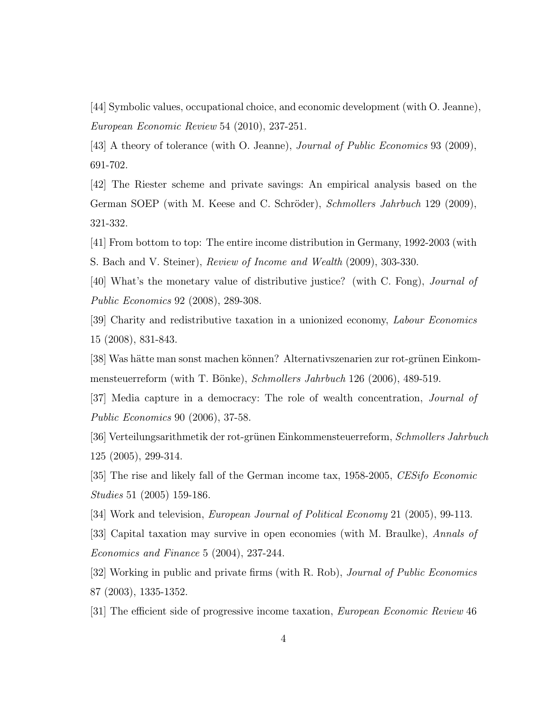[44] Symbolic values, occupational choice, and economic development (with O. Jeanne), European Economic Review 54 (2010), 237-251.

[43] A theory of tolerance (with O. Jeanne), Journal of Public Economics 93 (2009), 691-702.

[42] The Riester scheme and private savings: An empirical analysis based on the German SOEP (with M. Keese and C. Schroder), Schmollers Jahrbuch 129 (2009), 321-332.

[41] From bottom to top: The entire income distribution in Germany, 1992-2003 (with S. Bach and V. Steiner), Review of Income and Wealth (2009), 303-330.

[40] What's the monetary value of distributive justice? (with C. Fong), Journal of Public Economics 92 (2008), 289-308.

[39] Charity and redistributive taxation in a unionized economy, Labour Economics 15 (2008), 831-843.

[38] Was hätte man sonst machen können? Alternativszenarien zur rot-grünen Einkommensteuerreform (with T. Bönke), Schmollers Jahrbuch 126 (2006), 489-519.

[37] Media capture in a democracy: The role of wealth concentration, Journal of Public Economics 90 (2006), 37-58.

[36] Verteilungsarithmetik der rot-grunen Einkommensteuerreform, Schmollers Jahrbuch 125 (2005), 299-314.

[35] The rise and likely fall of the German income tax, 1958-2005, CESifo Economic Studies 51 (2005) 159-186.

[34] Work and television, European Journal of Political Economy 21 (2005), 99-113.

[33] Capital taxation may survive in open economies (with M. Braulke), Annals of Economics and Finance 5 (2004), 237-244.

[32] Working in public and private firms (with R. Rob), *Journal of Public Economics* 87 (2003), 1335-1352.

[31] The efficient side of progressive income taxation, *European Economic Review* 46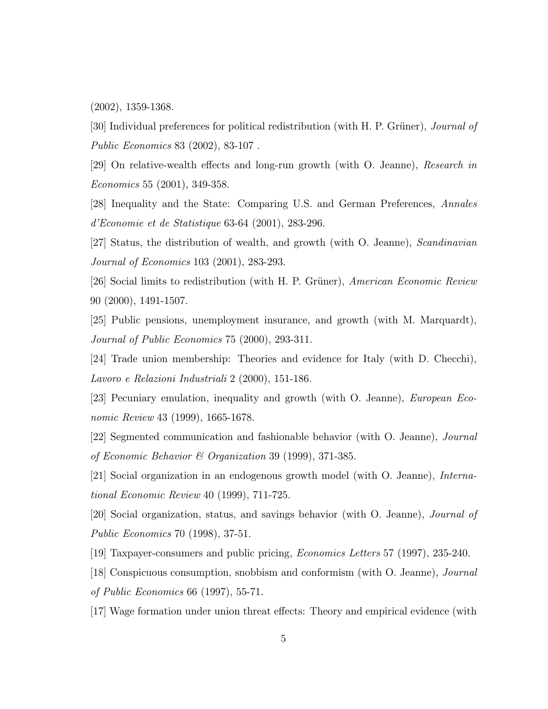(2002), 1359-1368.

[30] Individual preferences for political redistribution (with H. P. Grüner), *Journal of* Public Economics 83 (2002), 83-107 .

[29] On relative-wealth effects and long-run growth (with O. Jeanne), Research in Economics 55 (2001), 349-358.

[28] Inequality and the State: Comparing U.S. and German Preferences, Annales d'Economie et de Statistique 63-64 (2001), 283-296.

[27] Status, the distribution of wealth, and growth (with O. Jeanne), Scandinavian Journal of Economics 103 (2001), 283-293.

[26] Social limits to redistribution (with H. P. Grüner), *American Economic Review* 90 (2000), 1491-1507.

[25] Public pensions, unemployment insurance, and growth (with M. Marquardt), Journal of Public Economics 75 (2000), 293-311.

[24] Trade union membership: Theories and evidence for Italy (with D. Checchi), Lavoro e Relazioni Industriali 2 (2000), 151-186.

[23] Pecuniary emulation, inequality and growth (with O. Jeanne), European Economic Review 43 (1999), 1665-1678.

[22] Segmented communication and fashionable behavior (with O. Jeanne), Journal of Economic Behavior & Organization 39 (1999), 371-385.

[21] Social organization in an endogenous growth model (with O. Jeanne), International Economic Review 40 (1999), 711-725.

[20] Social organization, status, and savings behavior (with O. Jeanne), Journal of Public Economics 70 (1998), 37-51.

[19] Taxpayer-consumers and public pricing, Economics Letters 57 (1997), 235-240.

[18] Conspicuous consumption, snobbism and conformism (with O. Jeanne), Journal of Public Economics 66 (1997), 55-71.

[17] Wage formation under union threat effects: Theory and empirical evidence (with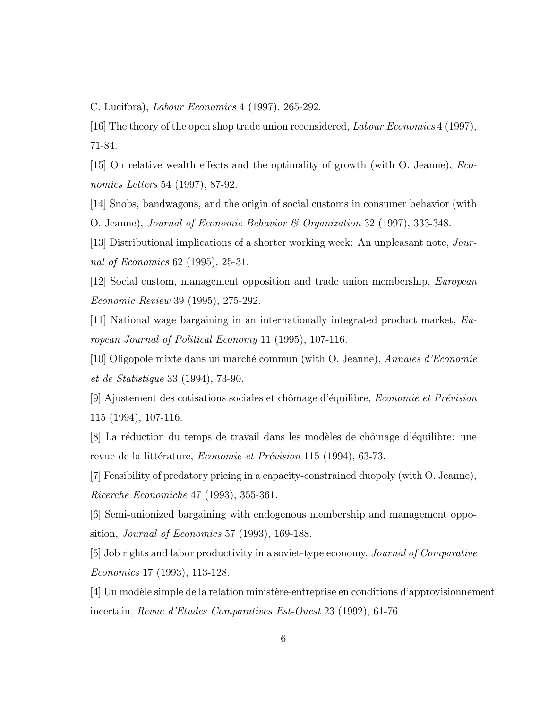C. Lucifora), Labour Economics 4 (1997), 265-292.

[16] The theory of the open shop trade union reconsidered, Labour Economics 4 (1997), 71-84.

[15] On relative wealth effects and the optimality of growth (with  $O$ . Jeanne), *Eco*nomics Letters 54 (1997), 87-92.

[14] Snobs, bandwagons, and the origin of social customs in consumer behavior (with O. Jeanne), Journal of Economic Behavior & Organization 32 (1997), 333-348.

[13] Distributional implications of a shorter working week: An unpleasant note, Journal of Economics 62 (1995), 25-31.

[12] Social custom, management opposition and trade union membership, European Economic Review 39 (1995), 275-292.

[11] National wage bargaining in an internationally integrated product market, European Journal of Political Economy 11 (1995), 107-116.

[10] Oligopole mixte dans un marche commun (with O. Jeanne), Annales d'Economie et de Statistique 33 (1994), 73-90.

[9] Ajustement des cotisations sociales et ch^omage d'equilibre, Economie et Prevision 115 (1994), 107-116.

[8] La reduction du temps de travail dans les modeles de ch^omage d'equilibre: une revue de la littérature, *Economie et Prévision* 115 (1994), 63-73.

[7] Feasibility of predatory pricing in a capacity-constrained duopoly (with O. Jeanne), Ricerche Economiche 47 (1993), 355-361.

[6] Semi-unionized bargaining with endogenous membership and management opposition, Journal of Economics 57 (1993), 169-188.

[5] Job rights and labor productivity in a soviet-type economy, Journal of Comparative Economics 17 (1993), 113-128.

[4] Un modele simple de la relation ministere-entreprise en conditions d'approvisionnement incertain, Revue d'Etudes Comparatives Est-Ouest 23 (1992), 61-76.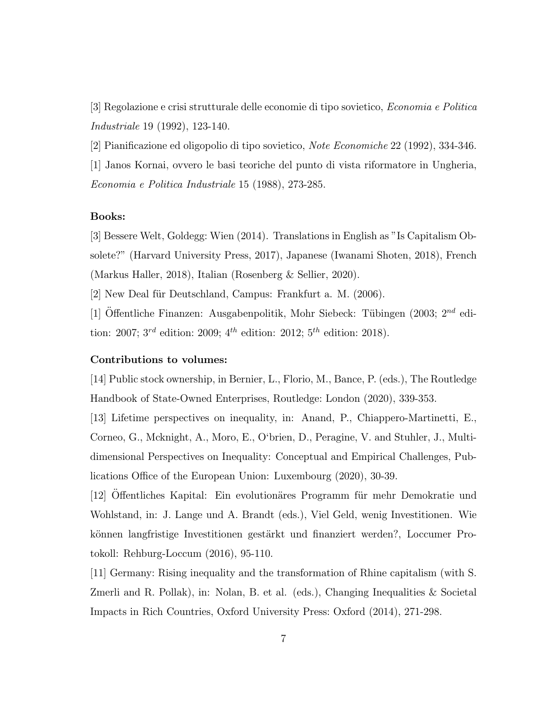[3] Regolazione e crisi strutturale delle economie di tipo sovietico, Economia e Politica Industriale 19 (1992), 123-140.

[2] Pianicazione ed oligopolio di tipo sovietico, Note Economiche 22 (1992), 334-346.

[1] Janos Kornai, ovvero le basi teoriche del punto di vista riformatore in Ungheria, Economia e Politica Industriale 15 (1988), 273-285.

# Books:

[3] Bessere Welt, Goldegg: Wien (2014). Translations in English as "Is Capitalism Obsolete?" (Harvard University Press, 2017), Japanese (Iwanami Shoten, 2018), French (Markus Haller, 2018), Italian (Rosenberg & Sellier, 2020).

[2] New Deal für Deutschland, Campus: Frankfurt a. M. (2006).

[1] Offentliche Finanzen: Ausgabenpolitik, Mohr Siebeck: Tübingen (2003;  $2^{nd}$  edition: 2007;  $3^{rd}$  edition: 2009;  $4^{th}$  edition: 2012;  $5^{th}$  edition: 2018).

## Contributions to volumes:

[14] Public stock ownership, in Bernier, L., Florio, M., Bance, P. (eds.), The Routledge Handbook of State-Owned Enterprises, Routledge: London (2020), 339-353.

[13] Lifetime perspectives on inequality, in: Anand, P., Chiappero-Martinetti, E., Corneo, G., Mcknight, A., Moro, E., O`brien, D., Peragine, V. and Stuhler, J., Multidimensional Perspectives on Inequality: Conceptual and Empirical Challenges, Publications Office of the European Union: Luxembourg (2020), 30-39.

[12] Offentliches Kapital: Ein evolutionäres Programm für mehr Demokratie und Wohlstand, in: J. Lange und A. Brandt (eds.), Viel Geld, wenig Investitionen. Wie konnen langfristige Investitionen gestarkt und nanziert werden?, Loccumer Protokoll: Rehburg-Loccum (2016), 95-110.

[11] Germany: Rising inequality and the transformation of Rhine capitalism (with S. Zmerli and R. Pollak), in: Nolan, B. et al. (eds.), Changing Inequalities & Societal Impacts in Rich Countries, Oxford University Press: Oxford (2014), 271-298.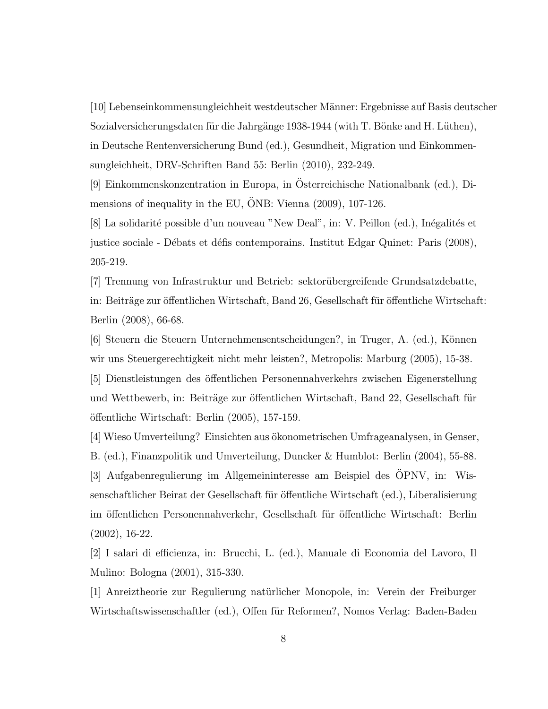[10] Lebenseinkommensungleichheit westdeutscher Manner: Ergebnisse auf Basis deutscher Sozialversicherungsdaten fur die Jahrgange 1938-1944 (with T. Bonke and H. Luthen), in Deutsche Rentenversicherung Bund (ed.), Gesundheit, Migration und Einkommensungleichheit, DRV-Schriften Band 55: Berlin (2010), 232-249.

[9] Einkommenskonzentration in Europa, in Osterreichische Nationalbank (ed.), Di mensions of inequality in the EU, ONB: Vienna (2009), 107-126.

[8] La solidarité possible d'un nouveau "New Deal", in: V. Peillon (ed.), Inégalités et justice sociale - Débats et défis contemporains. Institut Edgar Quinet: Paris (2008), 205-219.

[7] Trennung von Infrastruktur und Betrieb: sektorubergreifende Grundsatzdebatte, in: Beiträge zur öffentlichen Wirtschaft, Band 26, Gesellschaft für öffentliche Wirtschaft: Berlin (2008), 66-68.

[6] Steuern die Steuern Unternehmensentscheidungen?, in Truger, A. (ed.), Konnen wir uns Steuergerechtigkeit nicht mehr leisten?, Metropolis: Marburg (2005), 15-38.

[5] Dienstleistungen des öffentlichen Personennahverkehrs zwischen Eigenerstellung und Wettbewerb, in: Beiträge zur öffentlichen Wirtschaft, Band 22, Gesellschaft für  $\ddot{\text{off}}$ entliche Wirtschaft: Berlin (2005), 157-159.

[4] Wieso Umverteilung? Einsichten aus okonometrischen Umfrageanalysen, in Genser, B. (ed.), Finanzpolitik und Umverteilung, Duncker & Humblot: Berlin (2004), 55-88. [3] Aufgabenregulierung im Allgemeininteresse am Beispiel des OPNV, in: Wis senschaftlicher Beirat der Gesellschaft für öffentliche Wirtschaft (ed.), Liberalisierung im öffentlichen Personennahverkehr, Gesellschaft für öffentliche Wirtschaft: Berlin (2002), 16-22.

[2] I salari di ecienza, in: Brucchi, L. (ed.), Manuale di Economia del Lavoro, Il Mulino: Bologna (2001), 315-330.

[1] Anreiztheorie zur Regulierung naturlicher Monopole, in: Verein der Freiburger Wirtschaftswissenschaftler (ed.), Offen für Reformen?, Nomos Verlag: Baden-Baden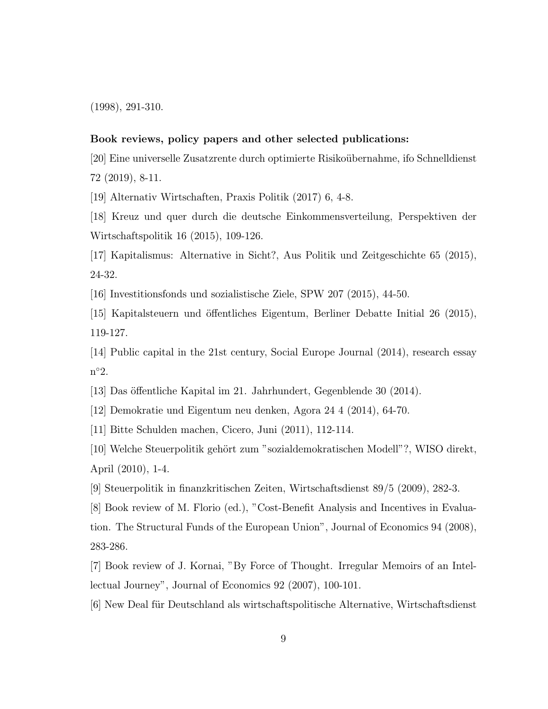(1998), 291-310.

#### Book reviews, policy papers and other selected publications:

[20] Eine universelle Zusatzrente durch optimierte Risikoubernahme, ifo Schnelldienst 72 (2019), 8-11.

[19] Alternativ Wirtschaften, Praxis Politik (2017) 6, 4-8.

[18] Kreuz und quer durch die deutsche Einkommensverteilung, Perspektiven der Wirtschaftspolitik 16 (2015), 109-126.

[17] Kapitalismus: Alternative in Sicht?, Aus Politik und Zeitgeschichte 65 (2015), 24-32.

[16] Investitionsfonds und sozialistische Ziele, SPW 207 (2015), 44-50.

 $[15]$  Kapitalsteuern und öffentliches Eigentum, Berliner Debatte Initial 26 (2015), 119-127.

[14] Public capital in the 21st century, Social Europe Journal (2014), research essay n 2:

[13] Das öffentliche Kapital im 21. Jahrhundert, Gegenblende 30 (2014).

[12] Demokratie und Eigentum neu denken, Agora 24 4 (2014), 64-70.

[11] Bitte Schulden machen, Cicero, Juni (2011), 112-114.

[10] Welche Steuerpolitik gehort zum "sozialdemokratischen Modell"?, WISO direkt, April (2010), 1-4.

[9] Steuerpolitik in nanzkritischen Zeiten, Wirtschaftsdienst 89/5 (2009), 282-3.

[8] Book review of M. Florio (ed.), "Cost-Benet Analysis and Incentives in Evaluation. The Structural Funds of the European Union", Journal of Economics 94 (2008), 283-286.

[7] Book review of J. Kornai, "By Force of Thought. Irregular Memoirs of an Intellectual Journey", Journal of Economics 92 (2007), 100-101.

[6] New Deal fur Deutschland als wirtschaftspolitische Alternative, Wirtschaftsdienst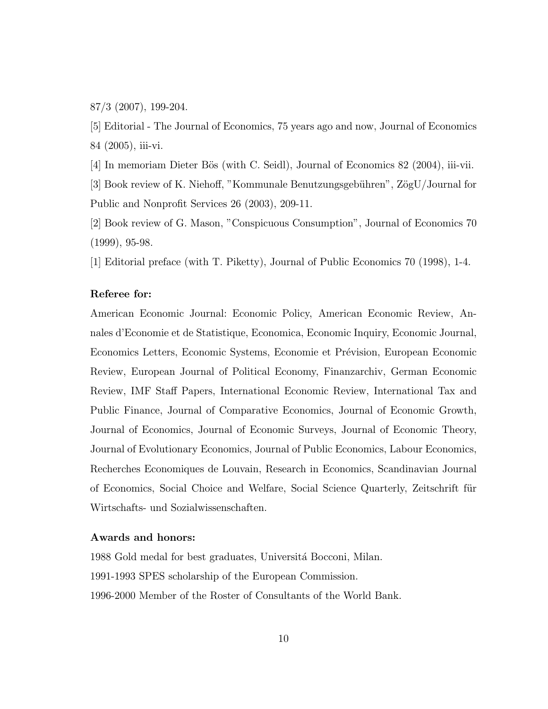87/3 (2007), 199-204.

[5] Editorial - The Journal of Economics, 75 years ago and now, Journal of Economics 84 (2005), iii-vi.

[4] In memoriam Dieter Bös (with C. Seidl), Journal of Economics 82 (2004), iii-vii.

[3] Book review of K. Niehoff, "Kommunale Benutzungsgebühren",  $Z\ddot{o}gU/J$ ournal for Public and Nonprofit Services 26 (2003), 209-11.

[2] Book review of G. Mason, "Conspicuous Consumption", Journal of Economics 70 (1999), 95-98.

[1] Editorial preface (with T. Piketty), Journal of Public Economics 70 (1998), 1-4.

## Referee for:

American Economic Journal: Economic Policy, American Economic Review, Annales d'Economie et de Statistique, Economica, Economic Inquiry, Economic Journal, Economics Letters, Economic Systems, Economie et Prevision, European Economic Review, European Journal of Political Economy, Finanzarchiv, German Economic Review, IMF Staff Papers, International Economic Review, International Tax and Public Finance, Journal of Comparative Economics, Journal of Economic Growth, Journal of Economics, Journal of Economic Surveys, Journal of Economic Theory, Journal of Evolutionary Economics, Journal of Public Economics, Labour Economics, Recherches Economiques de Louvain, Research in Economics, Scandinavian Journal of Economics, Social Choice and Welfare, Social Science Quarterly, Zeitschrift fur Wirtschafts- und Sozialwissenschaften.

#### Awards and honors:

1988 Gold medal for best graduates, Universita Bocconi, Milan. 1991-1993 SPES scholarship of the European Commission. 1996-2000 Member of the Roster of Consultants of the World Bank.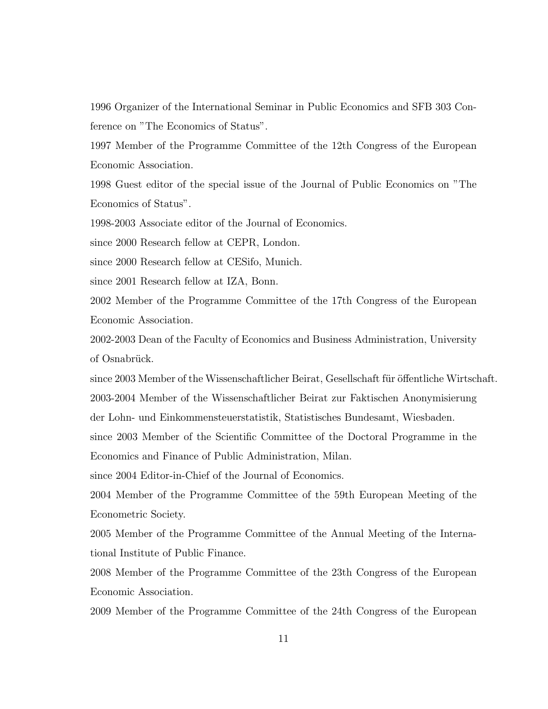1996 Organizer of the International Seminar in Public Economics and SFB 303 Conference on "The Economics of Status".

1997 Member of the Programme Committee of the 12th Congress of the European Economic Association.

1998 Guest editor of the special issue of the Journal of Public Economics on "The Economics of Status".

1998-2003 Associate editor of the Journal of Economics.

since 2000 Research fellow at CEPR, London.

since 2000 Research fellow at CESifo, Munich.

since 2001 Research fellow at IZA, Bonn.

2002 Member of the Programme Committee of the 17th Congress of the European Economic Association.

2002-2003 Dean of the Faculty of Economics and Business Administration, University of Osnabrück.

since 2003 Member of the Wissenschaftlicher Beirat, Gesellschaft für öffentliche Wirtschaft. 2003-2004 Member of the Wissenschaftlicher Beirat zur Faktischen Anonymisierung

der Lohn- und Einkommensteuerstatistik, Statistisches Bundesamt, Wiesbaden.

since 2003 Member of the Scientic Committee of the Doctoral Programme in the Economics and Finance of Public Administration, Milan.

since 2004 Editor-in-Chief of the Journal of Economics.

2004 Member of the Programme Committee of the 59th European Meeting of the Econometric Society.

2005 Member of the Programme Committee of the Annual Meeting of the International Institute of Public Finance.

2008 Member of the Programme Committee of the 23th Congress of the European Economic Association.

2009 Member of the Programme Committee of the 24th Congress of the European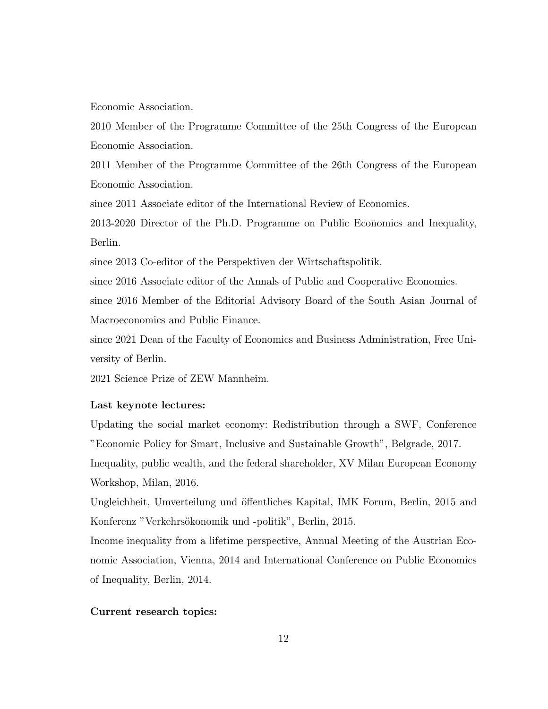Economic Association.

2010 Member of the Programme Committee of the 25th Congress of the European Economic Association.

2011 Member of the Programme Committee of the 26th Congress of the European Economic Association.

since 2011 Associate editor of the International Review of Economics.

2013-2020 Director of the Ph.D. Programme on Public Economics and Inequality, Berlin.

since 2013 Co-editor of the Perspektiven der Wirtschaftspolitik.

since 2016 Associate editor of the Annals of Public and Cooperative Economics.

since 2016 Member of the Editorial Advisory Board of the South Asian Journal of Macroeconomics and Public Finance.

since 2021 Dean of the Faculty of Economics and Business Administration, Free University of Berlin.

2021 Science Prize of ZEW Mannheim.

## Last keynote lectures:

Updating the social market economy: Redistribution through a SWF, Conference "Economic Policy for Smart, Inclusive and Sustainable Growth", Belgrade, 2017. Inequality, public wealth, and the federal shareholder, XV Milan European Economy Workshop, Milan, 2016.

Ungleichheit, Umverteilung und öffentliches Kapital, IMK Forum, Berlin, 2015 and Konferenz "Verkehrsokonomik und -politik", Berlin, 2015.

Income inequality from a lifetime perspective, Annual Meeting of the Austrian Economic Association, Vienna, 2014 and International Conference on Public Economics of Inequality, Berlin, 2014.

### Current research topics: